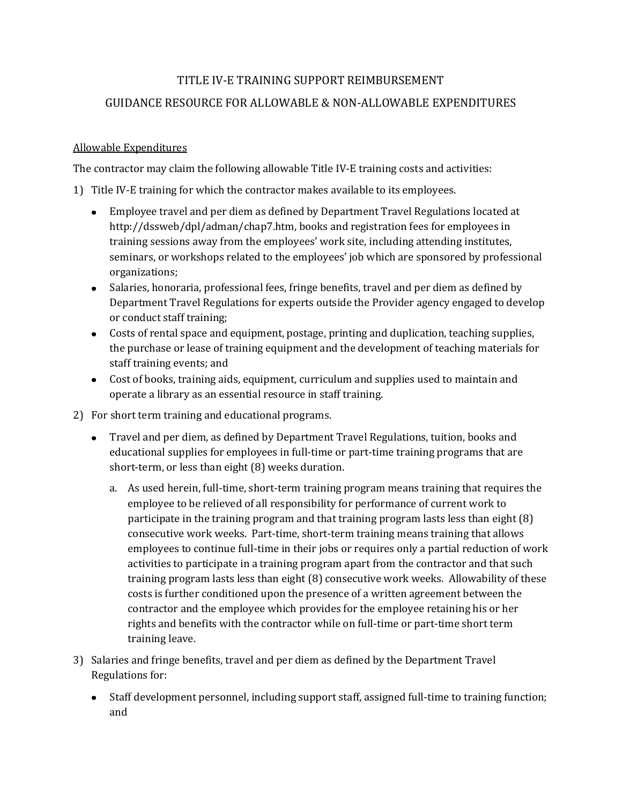## TITLE IV-E TRAINING SUPPORT REIMBURSEMENT

## GUIDANCE RESOURCE FOR ALLOWABLE & NON-ALLOWABLE EXPENDITURES

## Allowable Expenditures

The contractor may claim the following allowable Title IV-E training costs and activities:

- 1) Title IV-E training for which the contractor makes available to its employees.
	- Employee travel and per diem as defined by Department Travel Regulations located at http://dssweb/dpl/adman/chap7.htm, books and registration fees for employees in training sessions away from the employees' work site, including attending institutes, seminars, or workshops related to the employees' job which are sponsored by professional organizations;
	- Salaries, honoraria, professional fees, fringe benefits, travel and per diem as defined by Department Travel Regulations for experts outside the Provider agency engaged to develop or conduct staff training;
	- Costs of rental space and equipment, postage, printing and duplication, teaching supplies, the purchase or lease of training equipment and the development of teaching materials for staff training events; and
	- Cost of books, training aids, equipment, curriculum and supplies used to maintain and operate a library as an essential resource in staff training.
- 2) For short term training and educational programs.
	- Travel and per diem, as defined by Department Travel Regulations, tuition, books and educational supplies for employees in full-time or part-time training programs that are short-term, or less than eight (8) weeks duration.
		- a. As used herein, full-time, short-term training program means training that requires the employee to be relieved of all responsibility for performance of current work to participate in the training program and that training program lasts less than eight (8) consecutive work weeks. Part-time, short-term training means training that allows employees to continue full-time in their jobs or requires only a partial reduction of work activities to participate in a training program apart from the contractor and that such training program lasts less than eight (8) consecutive work weeks. Allowability of these costs is further conditioned upon the presence of a written agreement between the contractor and the employee which provides for the employee retaining his or her rights and benefits with the contractor while on full-time or part-time short term training leave.
- 3) Salaries and fringe benefits, travel and per diem as defined by the Department Travel Regulations for:
	- Staff development personnel, including support staff, assigned full-time to training function; and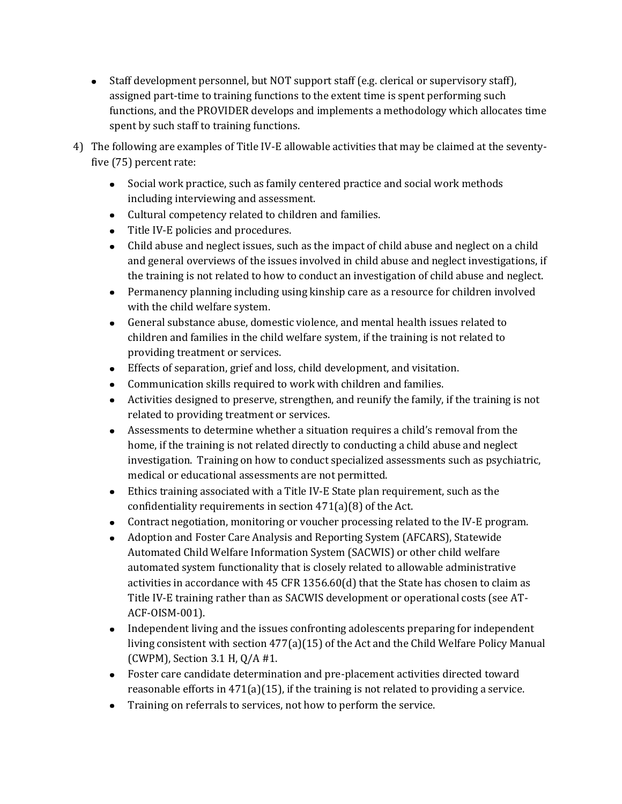- Staff development personnel, but NOT support staff (e.g. clerical or supervisory staff), assigned part-time to training functions to the extent time is spent performing such functions, and the PROVIDER develops and implements a methodology which allocates time spent by such staff to training functions.
- 4) The following are examples of Title IV-E allowable activities that may be claimed at the seventyfive (75) percent rate:
	- Social work practice, such as family centered practice and social work methods including interviewing and assessment.
	- Cultural competency related to children and families.
	- Title IV-E policies and procedures.
	- Child abuse and neglect issues, such as the impact of child abuse and neglect on a child and general overviews of the issues involved in child abuse and neglect investigations, if the training is not related to how to conduct an investigation of child abuse and neglect.
	- Permanency planning including using kinship care as a resource for children involved with the child welfare system.
	- General substance abuse, domestic violence, and mental health issues related to children and families in the child welfare system, if the training is not related to providing treatment or services.
	- Effects of separation, grief and loss, child development, and visitation.
	- Communication skills required to work with children and families.
	- Activities designed to preserve, strengthen, and reunify the family, if the training is not related to providing treatment or services.
	- Assessments to determine whether a situation requires a child's removal from the home, if the training is not related directly to conducting a child abuse and neglect investigation. Training on how to conduct specialized assessments such as psychiatric, medical or educational assessments are not permitted.
	- Ethics training associated with a Title IV-E State plan requirement, such as the confidentiality requirements in section 471(a)(8) of the Act.
	- Contract negotiation, monitoring or voucher processing related to the IV-E program.
	- Adoption and Foster Care Analysis and Reporting System (AFCARS), Statewide Automated Child Welfare Information System (SACWIS) or other child welfare automated system functionality that is closely related to allowable administrative activities in accordance with 45 CFR 1356.60(d) that the State has chosen to claim as Title IV-E training rather than as SACWIS development or operational costs (see AT-ACF-OISM-001).
	- Independent living and the issues confronting adolescents preparing for independent living consistent with section 477(a)(15) of the Act and the Child Welfare Policy Manual (CWPM), Section 3.1 H, Q/A #1.
	- Foster care candidate determination and pre-placement activities directed toward reasonable efforts in  $471(a)(15)$ , if the training is not related to providing a service.
	- Training on referrals to services, not how to perform the service.